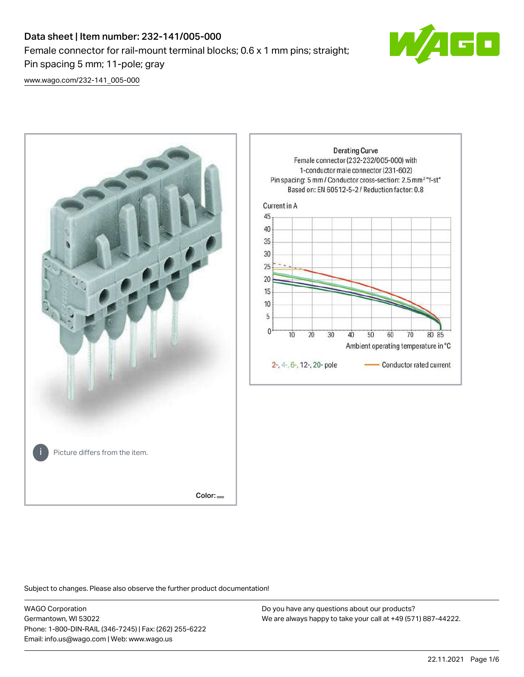# Data sheet | Item number: 232-141/005-000 Female connector for rail-mount terminal blocks; 0.6 x 1 mm pins; straight; Pin spacing 5 mm; 11-pole; gray



[www.wago.com/232-141\\_005-000](http://www.wago.com/232-141_005-000)



Subject to changes. Please also observe the further product documentation!

WAGO Corporation Germantown, WI 53022 Phone: 1-800-DIN-RAIL (346-7245) | Fax: (262) 255-6222 Email: info.us@wago.com | Web: www.wago.us

Do you have any questions about our products? We are always happy to take your call at +49 (571) 887-44222.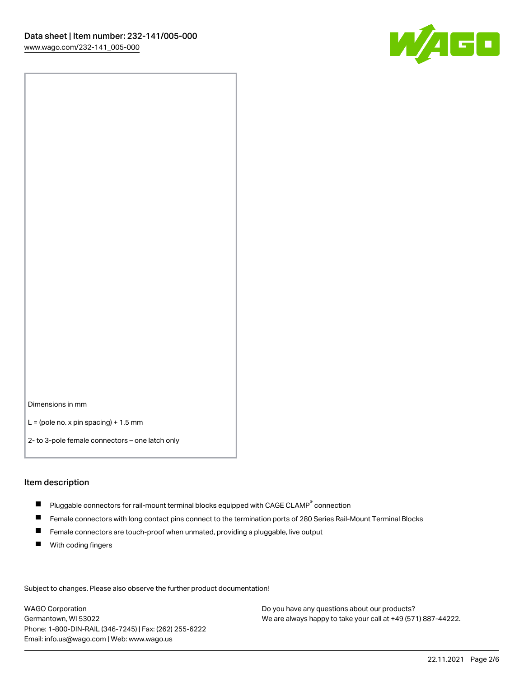

Dimensions in mm

 $L =$  (pole no. x pin spacing) + 1.5 mm

2- to 3-pole female connectors – one latch only

#### Item description

- $\blacksquare$  Pluggable connectors for rail-mount terminal blocks equipped with CAGE CLAMP $^\circ$  connection
- Female connectors with long contact pins connect to the termination ports of 280 Series Rail-Mount Terminal Blocks
- $\blacksquare$ Female connectors are touch-proof when unmated, providing a pluggable, live output
- $\blacksquare$ With coding fingers

Subject to changes. Please also observe the further product documentation! Data

WAGO Corporation Germantown, WI 53022 Phone: 1-800-DIN-RAIL (346-7245) | Fax: (262) 255-6222 Email: info.us@wago.com | Web: www.wago.us

Do you have any questions about our products? We are always happy to take your call at +49 (571) 887-44222.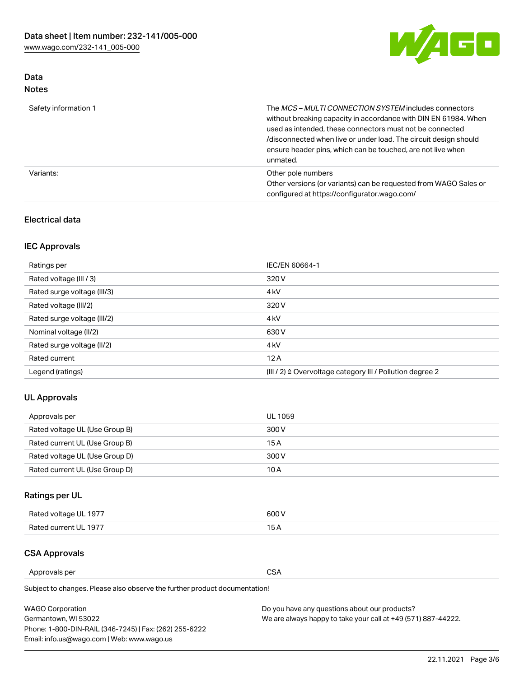

## Data Notes

| Safety information 1 | The MCS-MULTI CONNECTION SYSTEM includes connectors<br>without breaking capacity in accordance with DIN EN 61984. When<br>used as intended, these connectors must not be connected<br>/disconnected when live or under load. The circuit design should<br>ensure header pins, which can be touched, are not live when<br>unmated. |
|----------------------|-----------------------------------------------------------------------------------------------------------------------------------------------------------------------------------------------------------------------------------------------------------------------------------------------------------------------------------|
| Variants:            | Other pole numbers<br>Other versions (or variants) can be requested from WAGO Sales or<br>configured at https://configurator.wago.com/                                                                                                                                                                                            |

#### Electrical data

## IEC Approvals

| Ratings per                 | IEC/EN 60664-1                                                        |
|-----------------------------|-----------------------------------------------------------------------|
| Rated voltage (III / 3)     | 320 V                                                                 |
| Rated surge voltage (III/3) | 4 <sub>k</sub> V                                                      |
| Rated voltage (III/2)       | 320 V                                                                 |
| Rated surge voltage (III/2) | 4 <sub>k</sub> V                                                      |
| Nominal voltage (II/2)      | 630 V                                                                 |
| Rated surge voltage (II/2)  | 4 <sub>k</sub> V                                                      |
| Rated current               | 12A                                                                   |
| Legend (ratings)            | $(III / 2)$ $\triangle$ Overvoltage category III / Pollution degree 2 |

## UL Approvals

| Approvals per                  | UL 1059 |
|--------------------------------|---------|
| Rated voltage UL (Use Group B) | 300 V   |
| Rated current UL (Use Group B) | 15 A    |
| Rated voltage UL (Use Group D) | 300 V   |
| Rated current UL (Use Group D) | 10 A    |

## Ratings per UL

| Rated voltage UL 1977 | 300 V |
|-----------------------|-------|
| Rated current UL 1977 |       |

## CSA Approvals

Approvals per CSA

Subject to changes. Please also observe the further product documentation!

| <b>WAGO Corporation</b>                                | Do you have any questions about our products?                 |
|--------------------------------------------------------|---------------------------------------------------------------|
| Germantown, WI 53022                                   | We are always happy to take your call at +49 (571) 887-44222. |
| Phone: 1-800-DIN-RAIL (346-7245)   Fax: (262) 255-6222 |                                                               |
| Email: info.us@wago.com   Web: www.wago.us             |                                                               |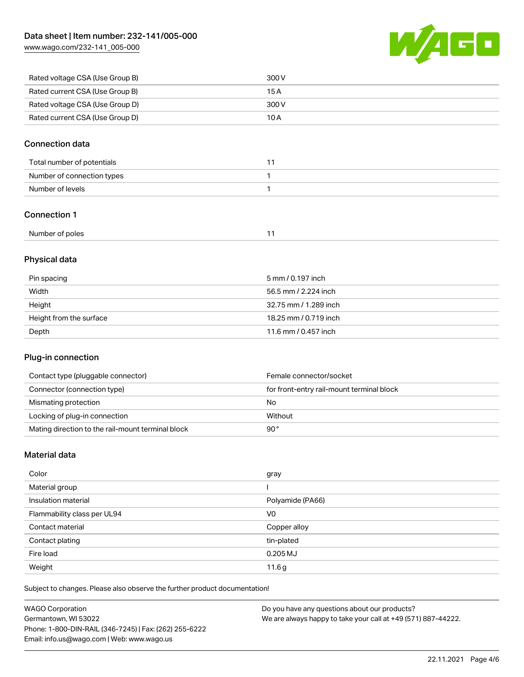[www.wago.com/232-141\\_005-000](http://www.wago.com/232-141_005-000)



| Rated voltage CSA (Use Group B) | 300 V |
|---------------------------------|-------|
| Rated current CSA (Use Group B) | 15 A  |
| Rated voltage CSA (Use Group D) | 300 V |
| Rated current CSA (Use Group D) | 10 A  |

#### Connection data

| Total number of potentials |  |
|----------------------------|--|
| Number of connection types |  |
| Number of levels           |  |

#### Connection 1

| Number of poles |  |
|-----------------|--|
|-----------------|--|

## Physical data

| Pin spacing             | 5 mm / 0.197 inch     |
|-------------------------|-----------------------|
| Width                   | 56.5 mm / 2.224 inch  |
| Height                  | 32.75 mm / 1.289 inch |
| Height from the surface | 18.25 mm / 0.719 inch |
| Depth                   | 11.6 mm / 0.457 inch  |

#### Plug-in connection

| Contact type (pluggable connector)                | Female connector/socket                   |
|---------------------------------------------------|-------------------------------------------|
| Connector (connection type)                       | for front-entry rail-mount terminal block |
| Mismating protection                              | No                                        |
| Locking of plug-in connection                     | Without                                   |
| Mating direction to the rail-mount terminal block | 90°                                       |

#### Material data

| Color                       | gray             |
|-----------------------------|------------------|
| Material group              |                  |
| Insulation material         | Polyamide (PA66) |
| Flammability class per UL94 | V <sub>0</sub>   |
| Contact material            | Copper alloy     |
| Contact plating             | tin-plated       |
| Fire load                   | $0.205$ MJ       |
| Weight                      | 11.6g            |

Subject to changes. Please also observe the further product documentation!

| <b>WAGO Corporation</b>                                | Do you have any questions about our products?                 |
|--------------------------------------------------------|---------------------------------------------------------------|
| Germantown, WI 53022                                   | We are always happy to take your call at +49 (571) 887-44222. |
| Phone: 1-800-DIN-RAIL (346-7245)   Fax: (262) 255-6222 |                                                               |
| Email: info.us@wago.com   Web: www.wago.us             |                                                               |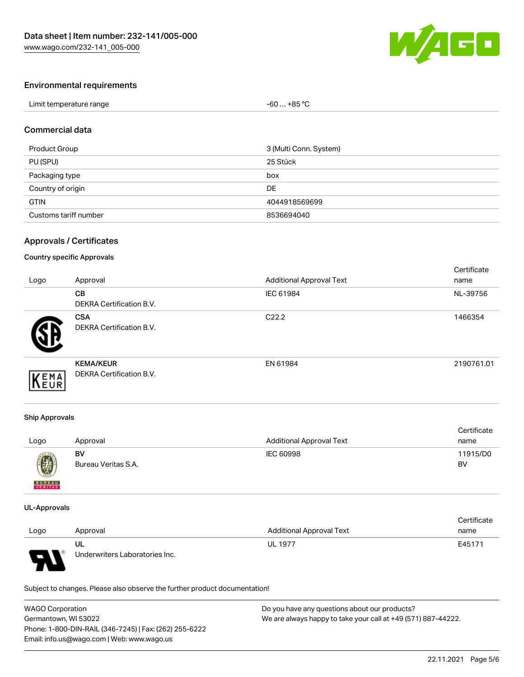

#### Environmental requirements

| Limit temperature range | $-60+85 °C$ |
|-------------------------|-------------|
|-------------------------|-------------|

#### Commercial data

| Product Group         | 3 (Multi Conn. System) |
|-----------------------|------------------------|
| PU (SPU)              | 25 Stück               |
| Packaging type        | box                    |
| Country of origin     | DE                     |
| <b>GTIN</b>           | 4044918569699          |
| Customs tariff number | 8536694040             |

#### Approvals / Certificates

#### Country specific Approvals

| Logo | Approval                                            | <b>Additional Approval Text</b> | Certificate<br>name |
|------|-----------------------------------------------------|---------------------------------|---------------------|
|      | <b>CB</b><br><b>DEKRA Certification B.V.</b>        | IEC 61984                       | NL-39756            |
|      | <b>CSA</b><br>DEKRA Certification B.V.              | C <sub>22.2</sub>               | 1466354             |
| EMA  | <b>KEMA/KEUR</b><br><b>DEKRA Certification B.V.</b> | EN 61984                        | 2190761.01          |

#### Ship Approvals

| Logo          | Approval            | <b>Additional Approval Text</b> | Certificate<br>name |
|---------------|---------------------|---------------------------------|---------------------|
| 國             | BV                  | IEC 60998                       | 11915/D0            |
| <b>BUREAU</b> | Bureau Veritas S.A. |                                 | BV                  |

#### UL-Approvals

|      |                                |                                 | Certificate |
|------|--------------------------------|---------------------------------|-------------|
| Logo | Approval                       | <b>Additional Approval Text</b> | name        |
|      | UL                             | <b>UL 1977</b>                  | E45171      |
| J    | Underwriters Laboratories Inc. |                                 |             |

Subject to changes. Please also observe the further product documentation!

| <b>WAGO Corporation</b>                                | Do you have any questions about our products?                 |  |
|--------------------------------------------------------|---------------------------------------------------------------|--|
| Germantown, WI 53022                                   | We are always happy to take your call at +49 (571) 887-44222. |  |
| Phone: 1-800-DIN-RAIL (346-7245)   Fax: (262) 255-6222 |                                                               |  |
| Email: info.us@wago.com   Web: www.wago.us             |                                                               |  |